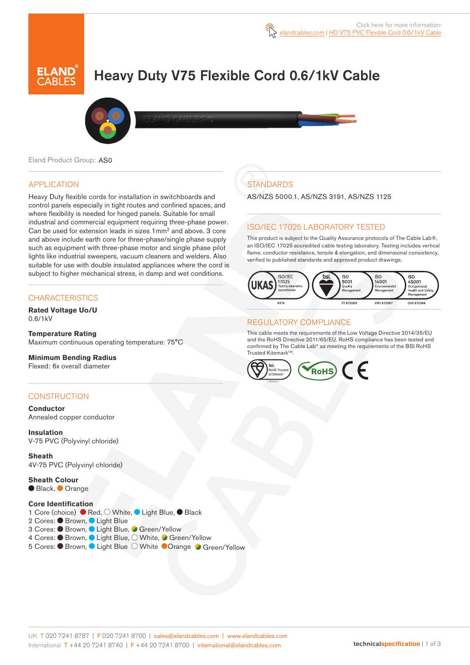# Heavy Duty V75 Flexible Cord 0.6/1kV Cable



Eland Product Group: AS0

#### APPLICATION

Heavy Duty flexible cords for installation in switchboards and control panels especially in tight routes and confined spaces, and where flexibility is needed for hinged panels. Suitable for small industrial and commercial equipment requiring three-phase power. Can be used for extension leads in sizes 1mm<sup>2</sup> and above. 3 core and above include earth core for three-phase/single phase supply such as equipment with three-phase motor and single phase pilot lights like industrial sweepers, vacuum cleaners and welders. Also suitable for use with double insulated appliances where the cord is subject to higher mechanical stress, in damp and wet conditions.

### **CHARACTERISTICS**

**Rated Voltage Uo/U**  0.6/1kV

#### **Temperature Rating** Maximum continuous operating temperature: 75°C

**Minimum Bending Radius**  Flexed: 6x overall diameter

#### **CONSTRUCTION**

**Conductor** Annealed copper conductor

**Insulation** V-75 PVC (Polyvinyl chloride)

**Sheath** 4V-75 PVC (Polyvinyl chloride)

**Sheath Colour** ● Black, ● Orange

#### **Core Identification**

1 Core (choice) ● Red, O White, ● Light Blue, ● Black 2 Cores: Brown, Light Blue 3 Cores: Brown, Light Blue, Green/Yellow 4 Cores: ● Brown, ● Light Blue, O White, ● Green/Yellow 5 Cores: ● Brown, ● Light Blue O White ● Orange ● Green/Yellow

# **STANDARDS**

AS/NZS 5000.1, AS/NZS 3191, AS/NZS 1125

## ISO/IEC 17025 LABORATORY TESTED

This product is subject to the Quality Assurance protocols of The Cable Lab®, an ISO/IEC 17025 accredited cable testing laboratory. Testing includes vertical flame, conductor resistance, tensile & elongation, and dimensional consistency, verified to published standards and approved product drawings.



### REGULATORY COMPLIANCE

This cable meets the requirements of the Low Voltage Directive 2014/35/EU and the RoHS Directive 2011/65/EU. RoHS compliance has been tested and confirmed by The Cable Lab® as meeting the requirements of the BSI RoHS Trusted Kitemark™

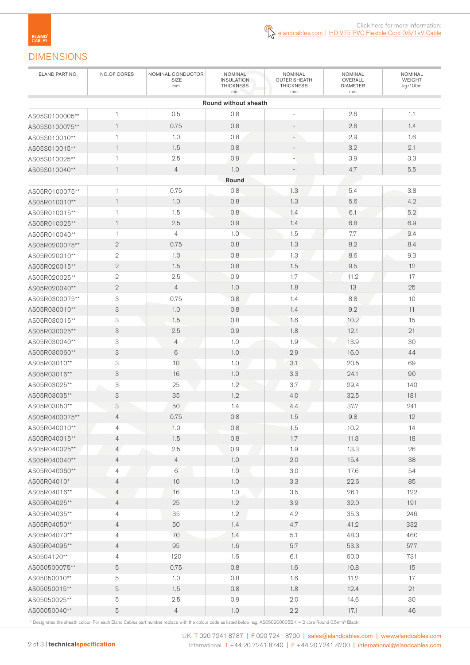# DIMENSIONS

| ELAND PART NO.                 | NO.OF CORES                      | NOMINAL CONDUCTOR<br>SIZE<br>mm | NOMINAL<br><b>INSULATION</b><br><b>THICKNESS</b><br>mm | NOMINAL<br><b>OUTER SHEATH</b><br><b>THICKNESS</b><br>mm | NOMINAL<br>OVERALL<br><b>DIAMETER</b><br>mm | NOMINAL<br>WEIGHT<br>kg/100m |
|--------------------------------|----------------------------------|---------------------------------|--------------------------------------------------------|----------------------------------------------------------|---------------------------------------------|------------------------------|
|                                |                                  |                                 | Round without sheath                                   |                                                          |                                             |                              |
| AS05S0100005**                 | 1                                | 0.5                             | 0.8                                                    | $\sim$                                                   | 2.6                                         | 1.1                          |
| AS05S0100075**                 | $\mathbf{1}$                     | 0.75                            | 0.8                                                    | $\qquad \qquad -$                                        | 2.8                                         | 1.4                          |
| AS05S010010**                  | $\mathbf{1}$                     | 1.0                             | 0.8                                                    | $\overline{\phantom{a}}$                                 | 2.9                                         | 1.6                          |
| AS05S010015**                  | $\mathbf{1}$                     | 1.5                             | 0.8                                                    |                                                          | 3.2                                         | 2.1                          |
| AS05S010025**                  | $\mathbf{1}$                     | 2.5                             | 0.9                                                    | $\frac{1}{2}$                                            | 3.9                                         | 3.3                          |
| AS05S010040**                  | $\mathbf{1}$                     | $\overline{4}$                  | 1.0                                                    |                                                          | 4.7                                         | $5.5\,$                      |
|                                |                                  |                                 | Round                                                  |                                                          |                                             |                              |
| AS05R0100075**                 | $\mathbf{1}$                     | 0.75                            | 0.8                                                    | 1.3                                                      | 5.4                                         | 3.8                          |
| AS05R010010**                  | $\mathbf{1}$                     | 1.0                             | 0.8                                                    | 1.3                                                      | 5.6                                         | 4.2                          |
| AS05R010015**                  | 1                                | 1.5                             | 0.8                                                    | 1.4                                                      | 6.1                                         | 5.2                          |
| AS05R010025**                  | $\mathbf{1}$                     | 2.5                             | 0.9                                                    | 1.4                                                      | 6.8                                         | 6.9                          |
| AS05R010040**                  | $\mathbf{1}$                     | 4                               | 1.0                                                    | 1.5                                                      | 7.7                                         | 9.4                          |
| AS05R0200075**                 | $\sqrt{2}$                       | 0.75                            | 0.8                                                    | 1.3                                                      | 8.2                                         | 8.4                          |
| AS05R020010**                  | $\sqrt{2}$                       | 1.0                             | 0.8                                                    | 1.3                                                      | 8.6                                         | 9.3                          |
| AS05R020015**                  | $\sqrt{2}$                       | 1.5                             | 0.8                                                    | 1.5                                                      | 9.5                                         | 12                           |
| AS05R020025**                  | $\sqrt{2}$                       | 2.5                             | 0.9                                                    | 1.7                                                      | 11.2                                        | 17                           |
| AS05R020040**                  | $\sqrt{2}$                       | $\overline{4}$                  | 1.0                                                    | 1.8                                                      | 13                                          | 25                           |
| AS05R0300075**                 | 3                                | 0.75                            | 0.8                                                    | 1.4                                                      | 8.8                                         | 10                           |
| AS05R030010**                  | $\ensuremath{\mathsf{3}}$        | 1.0                             | 0.8                                                    | 1.4                                                      | 9.2                                         | 11                           |
| AS05R030015**                  | 3                                | 1.5                             | 0.8                                                    | 1.6                                                      | 10.2                                        | 15                           |
| AS05R030025**                  | $\ensuremath{\mathsf{3}}$        | 2.5                             | 0.9                                                    | 1.8                                                      | 12.1                                        | 21                           |
| AS05R030040**                  | 3                                | $\overline{4}$                  | 1.0                                                    | 1.9                                                      | 13.9                                        | 30                           |
| AS05R030060**                  | $\ensuremath{\mathsf{3}}$        | 6                               | 1.0                                                    | 2.9                                                      | 16.0                                        | 44                           |
| AS05R03010**                   | $\ensuremath{\mathsf{3}}$        | 10                              | 1.0                                                    | 3.1                                                      | 20.5                                        | 69                           |
| AS05R03016**                   | $\ensuremath{\mathsf{3}}$        | 16                              | 1.0                                                    | 3.3                                                      | 24.1                                        | 90                           |
| AS05R03025**                   | 3                                | 25                              | 1.2                                                    | 3.7                                                      | 29.4                                        | 140                          |
| AS05R03035**                   | 3                                | 35                              | 1.2                                                    | 4.0                                                      | 32.5                                        | 181                          |
| AS05R03050**                   | 3                                | 50                              | 1.4                                                    | 4.4                                                      | 37.7                                        | 241                          |
| AS05R0400075**                 | $\overline{4}$                   | 0.75                            | 0.8                                                    | 1.5                                                      | 9.8                                         | 12                           |
|                                |                                  |                                 |                                                        |                                                          |                                             |                              |
| AS05R040010**                  | 4                                | 1.0                             | $0.8\,$                                                | 1.5                                                      | 10.2                                        | 14                           |
| AS05R040015**<br>AS05R040025** | $\overline{4}$                   | 1.5<br>$2.5\,$                  | 0.8<br>0.9                                             | 1.7<br>1.9                                               | 11.3<br>13.3                                | 18<br>26                     |
|                                | $\overline{4}$                   | $\overline{4}$                  | $1.0\,$                                                | $2.0\,$                                                  | 15.4                                        | 38                           |
| AS05R040040**<br>AS05R040060** | $\overline{4}$<br>$\overline{4}$ | 6                               | 1.0                                                    | 3.0                                                      | 17.6                                        | 54                           |
| AS05R04010*                    |                                  | 10                              | 1.0                                                    | 3.3                                                      | 22.6                                        | 85                           |
|                                | $\overline{4}$                   | 16                              | $1.0\,$                                                | 3.5                                                      | 26.1                                        | 122                          |
| AS05R04016**                   | $\overline{4}$                   |                                 |                                                        |                                                          |                                             |                              |
| AS05R04025**                   | $\overline{4}$                   | 25                              | 1.2                                                    | 3.9                                                      | 32.0                                        | 191                          |
| AS05R04035**                   | $\overline{4}$                   | 35                              | 1.2                                                    | 4.2                                                      | 35.3                                        | 246                          |
| AS05R04050**                   | $\overline{4}$                   | 50                              | 1.4                                                    | 4.7                                                      | 41.2                                        | 332                          |
| AS05R04070**                   | $\overline{4}$                   | 70                              | 1.4                                                    | 5.1                                                      | 48.3                                        | 460                          |
| AS05R04095**                   | $\overline{4}$                   | 95                              | 1.6                                                    | $5.7\,$                                                  | 53.3                                        | 577                          |
| AS0504120**                    | $\overline{4}$                   | 120                             | 1.6                                                    | 6.1                                                      | 60.0                                        | 731                          |
| AS050500075**                  | 5                                | 0.75                            | 0.8                                                    | 1.6                                                      | 10.8                                        | 15                           |
| AS05050010**                   | 5                                | $1.0\,$                         | 0.8                                                    | 1.6                                                      | 11.2                                        | $17\,$                       |
| AS05050015**                   | $\mathbf 5$                      | 1.5                             | 0.8                                                    | 1.8                                                      | 12.4                                        | 21                           |
| AS05050025**                   | $\mathbf 5$                      | $2.5\,$                         | 0.9                                                    | 2.0                                                      | 14.6                                        | 30                           |
| AS05050040**                   | $\mathbf 5$                      | $\overline{4}$                  | 1.0                                                    | 2.2                                                      | 17.1                                        | 46                           |

\* Designates the sheath colour. For each Eland Cables part number replace with the colour code as listed below. e.g. AS050200005BK = 2 core Round 0.5mm² Black